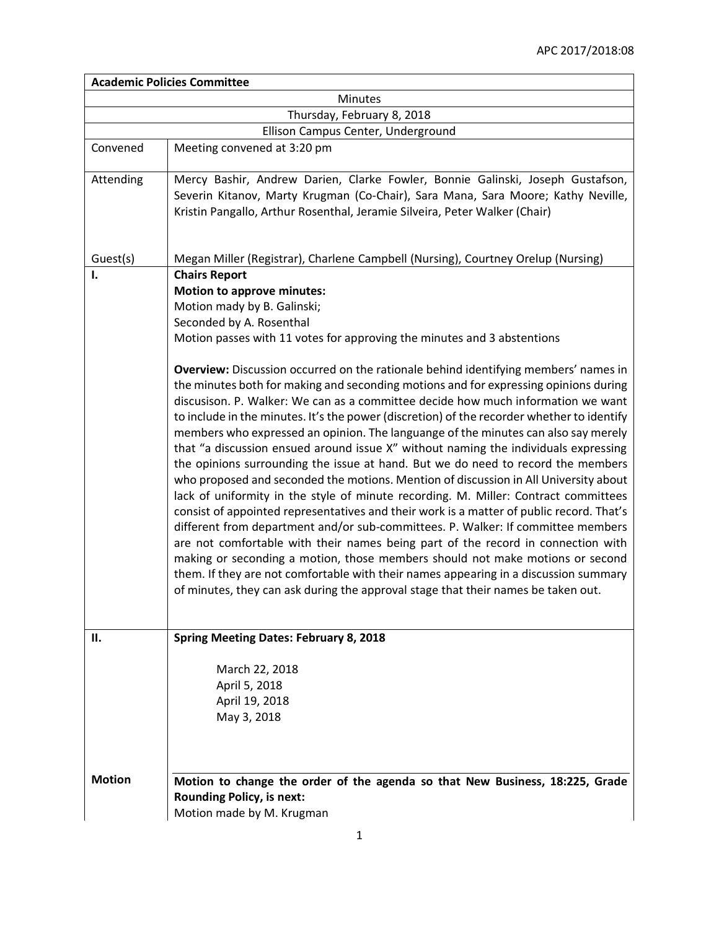| <b>Academic Policies Committee</b> |                                                                                                                                                                                                                                                                                                                                                                                                                                                                                                                                                                                                                                                                                                                                                                                                                                                                                                                                                                                                                                                                                                                                                                                                                                                                                                                                                                                                                                                                                                                                                    |  |
|------------------------------------|----------------------------------------------------------------------------------------------------------------------------------------------------------------------------------------------------------------------------------------------------------------------------------------------------------------------------------------------------------------------------------------------------------------------------------------------------------------------------------------------------------------------------------------------------------------------------------------------------------------------------------------------------------------------------------------------------------------------------------------------------------------------------------------------------------------------------------------------------------------------------------------------------------------------------------------------------------------------------------------------------------------------------------------------------------------------------------------------------------------------------------------------------------------------------------------------------------------------------------------------------------------------------------------------------------------------------------------------------------------------------------------------------------------------------------------------------------------------------------------------------------------------------------------------------|--|
| Minutes                            |                                                                                                                                                                                                                                                                                                                                                                                                                                                                                                                                                                                                                                                                                                                                                                                                                                                                                                                                                                                                                                                                                                                                                                                                                                                                                                                                                                                                                                                                                                                                                    |  |
| Thursday, February 8, 2018         |                                                                                                                                                                                                                                                                                                                                                                                                                                                                                                                                                                                                                                                                                                                                                                                                                                                                                                                                                                                                                                                                                                                                                                                                                                                                                                                                                                                                                                                                                                                                                    |  |
| Ellison Campus Center, Underground |                                                                                                                                                                                                                                                                                                                                                                                                                                                                                                                                                                                                                                                                                                                                                                                                                                                                                                                                                                                                                                                                                                                                                                                                                                                                                                                                                                                                                                                                                                                                                    |  |
| Convened                           | Meeting convened at 3:20 pm                                                                                                                                                                                                                                                                                                                                                                                                                                                                                                                                                                                                                                                                                                                                                                                                                                                                                                                                                                                                                                                                                                                                                                                                                                                                                                                                                                                                                                                                                                                        |  |
| Attending                          | Mercy Bashir, Andrew Darien, Clarke Fowler, Bonnie Galinski, Joseph Gustafson,<br>Severin Kitanov, Marty Krugman (Co-Chair), Sara Mana, Sara Moore; Kathy Neville,<br>Kristin Pangallo, Arthur Rosenthal, Jeramie Silveira, Peter Walker (Chair)                                                                                                                                                                                                                                                                                                                                                                                                                                                                                                                                                                                                                                                                                                                                                                                                                                                                                                                                                                                                                                                                                                                                                                                                                                                                                                   |  |
| Guest(s)                           | Megan Miller (Registrar), Charlene Campbell (Nursing), Courtney Orelup (Nursing)                                                                                                                                                                                                                                                                                                                                                                                                                                                                                                                                                                                                                                                                                                                                                                                                                                                                                                                                                                                                                                                                                                                                                                                                                                                                                                                                                                                                                                                                   |  |
| I.                                 | <b>Chairs Report</b><br><b>Motion to approve minutes:</b><br>Motion mady by B. Galinski;<br>Seconded by A. Rosenthal<br>Motion passes with 11 votes for approving the minutes and 3 abstentions<br>Overview: Discussion occurred on the rationale behind identifying members' names in<br>the minutes both for making and seconding motions and for expressing opinions during<br>discusison. P. Walker: We can as a committee decide how much information we want<br>to include in the minutes. It's the power (discretion) of the recorder whether to identify<br>members who expressed an opinion. The languange of the minutes can also say merely<br>that "a discussion ensued around issue X" without naming the individuals expressing<br>the opinions surrounding the issue at hand. But we do need to record the members<br>who proposed and seconded the motions. Mention of discussion in All University about<br>lack of uniformity in the style of minute recording. M. Miller: Contract committees<br>consist of appointed representatives and their work is a matter of public record. That's<br>different from department and/or sub-committees. P. Walker: If committee members<br>are not comfortable with their names being part of the record in connection with<br>making or seconding a motion, those members should not make motions or second<br>them. If they are not comfortable with their names appearing in a discussion summary<br>of minutes, they can ask during the approval stage that their names be taken out. |  |
| П.                                 | <b>Spring Meeting Dates: February 8, 2018</b>                                                                                                                                                                                                                                                                                                                                                                                                                                                                                                                                                                                                                                                                                                                                                                                                                                                                                                                                                                                                                                                                                                                                                                                                                                                                                                                                                                                                                                                                                                      |  |
|                                    | March 22, 2018<br>April 5, 2018<br>April 19, 2018<br>May 3, 2018                                                                                                                                                                                                                                                                                                                                                                                                                                                                                                                                                                                                                                                                                                                                                                                                                                                                                                                                                                                                                                                                                                                                                                                                                                                                                                                                                                                                                                                                                   |  |
| <b>Motion</b>                      | Motion to change the order of the agenda so that New Business, 18:225, Grade<br><b>Rounding Policy, is next:</b><br>Motion made by M. Krugman                                                                                                                                                                                                                                                                                                                                                                                                                                                                                                                                                                                                                                                                                                                                                                                                                                                                                                                                                                                                                                                                                                                                                                                                                                                                                                                                                                                                      |  |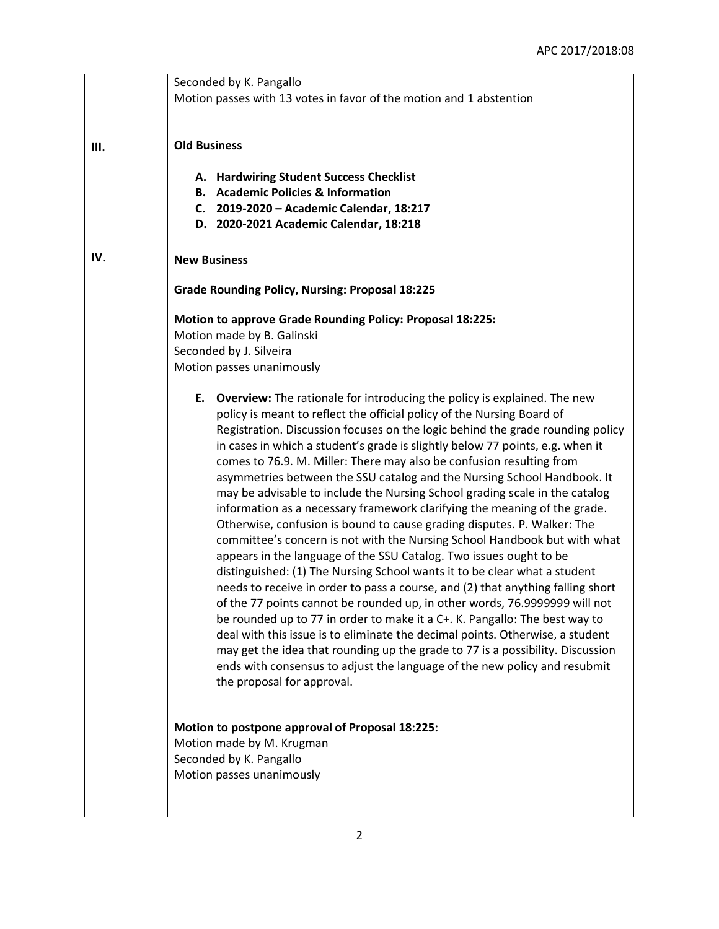|     | Seconded by K. Pangallo<br>Motion passes with 13 votes in favor of the motion and 1 abstention                                                                                                                                                                                                                                                                                                                                                                                                                                                                                                                                                                                                                                                                                                                                                                                                                                                                                                                                                                                                                                                                                                                                                                                                                                                                                                                                                                                  |
|-----|---------------------------------------------------------------------------------------------------------------------------------------------------------------------------------------------------------------------------------------------------------------------------------------------------------------------------------------------------------------------------------------------------------------------------------------------------------------------------------------------------------------------------------------------------------------------------------------------------------------------------------------------------------------------------------------------------------------------------------------------------------------------------------------------------------------------------------------------------------------------------------------------------------------------------------------------------------------------------------------------------------------------------------------------------------------------------------------------------------------------------------------------------------------------------------------------------------------------------------------------------------------------------------------------------------------------------------------------------------------------------------------------------------------------------------------------------------------------------------|
| Ш.  | <b>Old Business</b>                                                                                                                                                                                                                                                                                                                                                                                                                                                                                                                                                                                                                                                                                                                                                                                                                                                                                                                                                                                                                                                                                                                                                                                                                                                                                                                                                                                                                                                             |
|     | A. Hardwiring Student Success Checklist<br><b>B.</b> Academic Policies & Information<br>C. 2019-2020 - Academic Calendar, 18:217<br>D. 2020-2021 Academic Calendar, 18:218                                                                                                                                                                                                                                                                                                                                                                                                                                                                                                                                                                                                                                                                                                                                                                                                                                                                                                                                                                                                                                                                                                                                                                                                                                                                                                      |
| IV. | <b>New Business</b>                                                                                                                                                                                                                                                                                                                                                                                                                                                                                                                                                                                                                                                                                                                                                                                                                                                                                                                                                                                                                                                                                                                                                                                                                                                                                                                                                                                                                                                             |
|     | <b>Grade Rounding Policy, Nursing: Proposal 18:225</b>                                                                                                                                                                                                                                                                                                                                                                                                                                                                                                                                                                                                                                                                                                                                                                                                                                                                                                                                                                                                                                                                                                                                                                                                                                                                                                                                                                                                                          |
|     | <b>Motion to approve Grade Rounding Policy: Proposal 18:225:</b><br>Motion made by B. Galinski                                                                                                                                                                                                                                                                                                                                                                                                                                                                                                                                                                                                                                                                                                                                                                                                                                                                                                                                                                                                                                                                                                                                                                                                                                                                                                                                                                                  |
|     | Seconded by J. Silveira                                                                                                                                                                                                                                                                                                                                                                                                                                                                                                                                                                                                                                                                                                                                                                                                                                                                                                                                                                                                                                                                                                                                                                                                                                                                                                                                                                                                                                                         |
|     | Motion passes unanimously                                                                                                                                                                                                                                                                                                                                                                                                                                                                                                                                                                                                                                                                                                                                                                                                                                                                                                                                                                                                                                                                                                                                                                                                                                                                                                                                                                                                                                                       |
|     | E. Overview: The rationale for introducing the policy is explained. The new<br>policy is meant to reflect the official policy of the Nursing Board of<br>Registration. Discussion focuses on the logic behind the grade rounding policy<br>in cases in which a student's grade is slightly below 77 points, e.g. when it<br>comes to 76.9. M. Miller: There may also be confusion resulting from<br>asymmetries between the SSU catalog and the Nursing School Handbook. It<br>may be advisable to include the Nursing School grading scale in the catalog<br>information as a necessary framework clarifying the meaning of the grade.<br>Otherwise, confusion is bound to cause grading disputes. P. Walker: The<br>committee's concern is not with the Nursing School Handbook but with what<br>appears in the language of the SSU Catalog. Two issues ought to be<br>distinguished: (1) The Nursing School wants it to be clear what a student<br>needs to receive in order to pass a course, and (2) that anything falling short<br>of the 77 points cannot be rounded up, in other words, 76.9999999 will not<br>be rounded up to 77 in order to make it a C+. K. Pangallo: The best way to<br>deal with this issue is to eliminate the decimal points. Otherwise, a student<br>may get the idea that rounding up the grade to 77 is a possibility. Discussion<br>ends with consensus to adjust the language of the new policy and resubmit<br>the proposal for approval. |
|     | Motion to postpone approval of Proposal 18:225:<br>Motion made by M. Krugman<br>Seconded by K. Pangallo<br>Motion passes unanimously                                                                                                                                                                                                                                                                                                                                                                                                                                                                                                                                                                                                                                                                                                                                                                                                                                                                                                                                                                                                                                                                                                                                                                                                                                                                                                                                            |